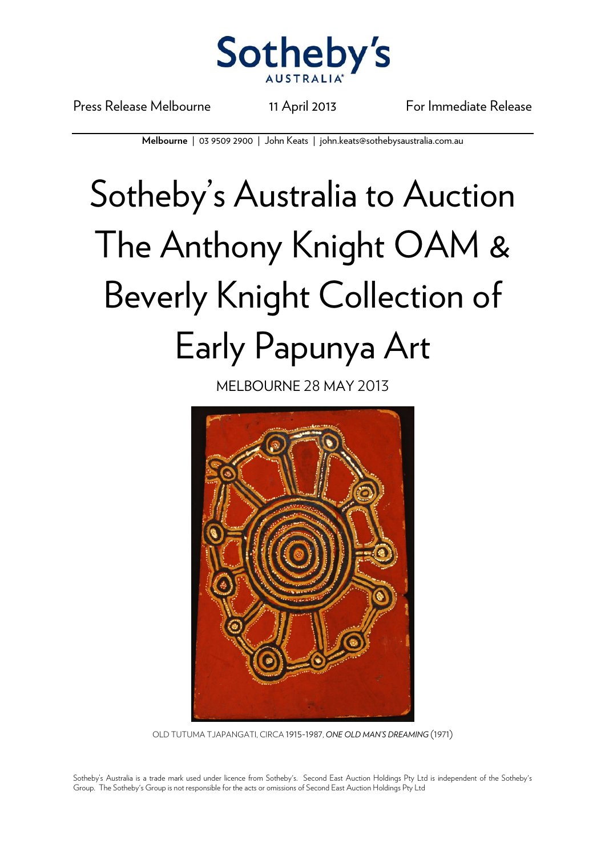

Press Release Melbourne 11 April 2013 For Immediate Release

**Melbourne** | 03 9509 2900 | John Keats | john.keats@sothebysaustralia.com.au

## Sotheby's Australia to Auction The Anthony Knight OAM & Beverly Knight Collection of Early Papunya Art

MELBOURNE 28 MAY 2013



OLD TUTUMA TJAPANGATI, CIRCA 1915-1987, *ONE OLD MAN'S DREAMING* (1971)

Sotheby's Australia is a trade mark used under licence from Sotheby's. Second East Auction Holdings Pty Ltd is independent of the Sotheby's Group. The Sotheby's Group is not responsible for the acts or omissions of Second East Auction Holdings Pty Ltd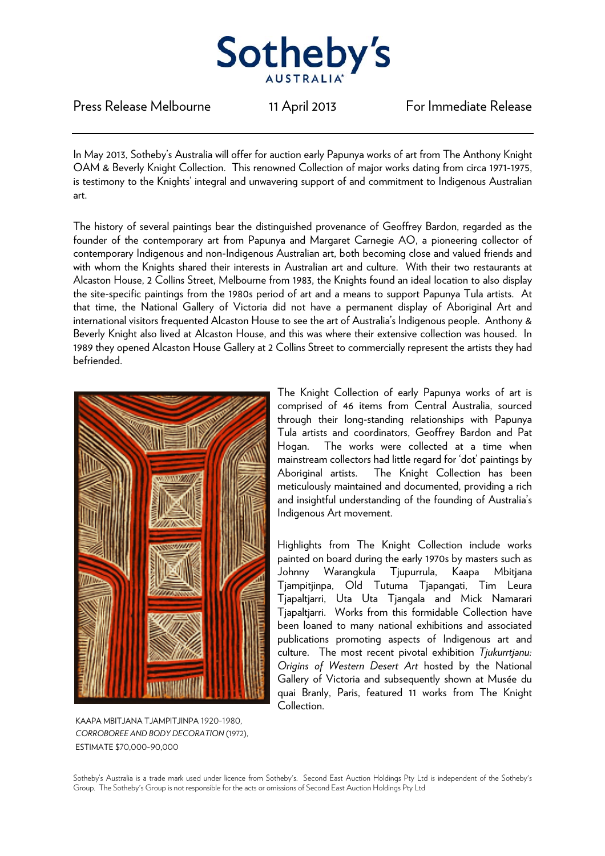

Press Release Melbourne 11 April 2013 For Immediate Release

In May 2013, Sotheby's Australia will offer for auction early Papunya works of art from The Anthony Knight OAM & Beverly Knight Collection. This renowned Collection of major works dating from circa 1971-1975, is testimony to the Knights' integral and unwavering support of and commitment to Indigenous Australian art.

The history of several paintings bear the distinguished provenance of Geoffrey Bardon, regarded as the founder of the contemporary art from Papunya and Margaret Carnegie AO, a pioneering collector of contemporary Indigenous and non-Indigenous Australian art, both becoming close and valued friends and with whom the Knights shared their interests in Australian art and culture. With their two restaurants at Alcaston House, 2 Collins Street, Melbourne from 1983, the Knights found an ideal location to also display the site-specific paintings from the 1980s period of art and a means to support Papunya Tula artists. At that time, the National Gallery of Victoria did not have a permanent display of Aboriginal Art and international visitors frequented Alcaston House to see the art of Australia's Indigenous people. Anthony & Beverly Knight also lived at Alcaston House, and this was where their extensive collection was housed. In 1989 they opened Alcaston House Gallery at 2 Collins Street to commercially represent the artists they had befriended.



KAAPA MBITJANA TJAMPITJINPA 1920-1980 *CORROBOREE AND BODY DECORATION* (1972), ESTIMATE \$70,000-90,000

The Knight Collection of early Papunya works of art is comprised of 46 items from Central Australia, sourced through their long-standing relationships with Papunya Tula artists and coordinators, Geoffrey Bardon and Pat Hogan. The works were collected at a time when mainstream collectors had little regard for 'dot' paintings by Aboriginal artists. The Knight Collection has been meticulously maintained and documented, providing a rich and insightful understanding of the founding of Australia's Indigenous Art movement.

Highlights from The Knight Collection include works painted on board during the early 1970s by masters such as Johnny Warangkula Tjupurrula, Kaapa Mbitjana Tjampitjinpa, Old Tutuma Tjapangati, Tim Leura Tjapaltjarri, Uta Uta Tjangala and Mick Namarari Tjapaltjarri. Works from this formidable Collection have been loaned to many national exhibitions and associated publications promoting aspects of Indigenous art and culture. The most recent pivotal exhibition *Tjukurrtjanu: Origins of Western Desert Art* hosted by the National Gallery of Victoria and subsequently shown at Musée du quai Branly, Paris, featured 11 works from The Knight Collection.

Sotheby's Australia is a trade mark used under licence from Sotheby's. Second East Auction Holdings Pty Ltd is independent of the Sotheby's Group. The Sotheby's Group is not responsible for the acts or omissions of Second East Auction Holdings Pty Ltd